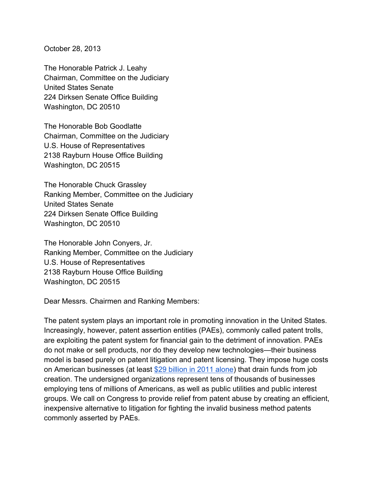October 28, 2013

The Honorable Patrick J. Leahy Chairman, Committee on the Judiciary United States Senate 224 Dirksen Senate Office Building Washington, DC 20510

The Honorable Bob Goodlatte Chairman, Committee on the Judiciary U.S. House of Representatives 2138 Rayburn House Office Building Washington, DC 20515

The Honorable Chuck Grassley Ranking Member, Committee on the Judiciary United States Senate 224 Dirksen Senate Office Building Washington, DC 20510

The Honorable John Conyers, Jr. Ranking Member, Committee on the Judiciary U.S. House of Representatives 2138 Rayburn House Office Building Washington, DC 20515

Dear Messrs. Chairmen and Ranking Members:

The patent system plays an important role in promoting innovation in the United States. Increasingly, however, patent assertion entities (PAEs), commonly called patent trolls, are exploiting the patent system for financial gain to the detriment of innovation. PAEs do not make or sell products, nor do they develop new technologies—their business model is based purely on patent litigation and patent licensing. They impose huge costs on American businesses (at least \$29 billion in 2011 alone) that drain funds from job creation. The undersigned organizations represent tens of thousands of businesses employing tens of millions of Americans, as well as public utilities and public interest groups. We call on Congress to provide relief from patent abuse by creating an efficient, inexpensive alternative to litigation for fighting the invalid business method patents commonly asserted by PAEs.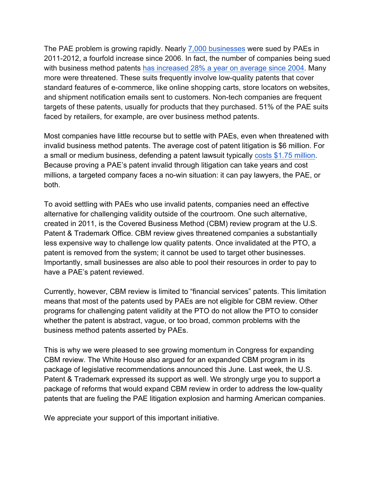The PAE problem is growing rapidly. Nearly 7,000 businesses were sued by PAEs in 2011-2012, a fourfold increase since 2006. In fact, the number of companies being sued with business method patents has increased 28% a year on average since 2004. Many more were threatened. These suits frequently involve low-quality patents that cover standard features of e-commerce, like online shopping carts, store locators on websites, and shipment notification emails sent to customers. Non-tech companies are frequent targets of these patents, usually for products that they purchased. 51% of the PAE suits faced by retailers, for example, are over business method patents.

Most companies have little recourse but to settle with PAEs, even when threatened with invalid business method patents. The average cost of patent litigation is \$6 million. For a small or medium business, defending a patent lawsuit typically costs \$1.75 million. Because proving a PAE's patent invalid through litigation can take years and cost millions, a targeted company faces a no-win situation: it can pay lawyers, the PAE, or both.

To avoid settling with PAEs who use invalid patents, companies need an effective alternative for challenging validity outside of the courtroom. One such alternative, created in 2011, is the Covered Business Method (CBM) review program at the U.S. Patent & Trademark Office. CBM review gives threatened companies a substantially less expensive way to challenge low quality patents. Once invalidated at the PTO, a patent is removed from the system; it cannot be used to target other businesses. Importantly, small businesses are also able to pool their resources in order to pay to have a PAE's patent reviewed.

Currently, however, CBM review is limited to "financial services" patents. This limitation means that most of the patents used by PAEs are not eligible for CBM review. Other programs for challenging patent validity at the PTO do not allow the PTO to consider whether the patent is abstract, vague, or too broad, common problems with the business method patents asserted by PAEs.

This is why we were pleased to see growing momentum in Congress for expanding CBM review. The White House also argued for an expanded CBM program in its package of legislative recommendations announced this June. Last week, the U.S. Patent & Trademark expressed its support as well. We strongly urge you to support a package of reforms that would expand CBM review in order to address the low-quality patents that are fueling the PAE litigation explosion and harming American companies.

We appreciate your support of this important initiative.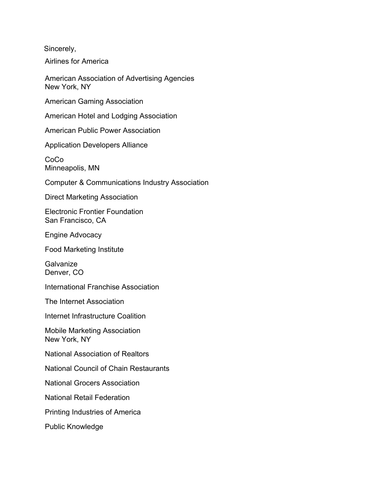Sincerely,

Airlines for America

American Association of Advertising Agencies New York, NY

American Gaming Association

American Hotel and Lodging Association

American Public Power Association

Application Developers Alliance

CoCo Minneapolis, MN

Computer & Communications Industry Association

Direct Marketing Association

Electronic Frontier Foundation San Francisco, CA

Engine Advocacy

Food Marketing Institute

**Galvanize** Denver, CO

International Franchise Association

The Internet Association

Internet Infrastructure Coalition

Mobile Marketing Association New York, NY

National Association of Realtors

National Council of Chain Restaurants

National Grocers Association

National Retail Federation

Printing Industries of America

Public Knowledge